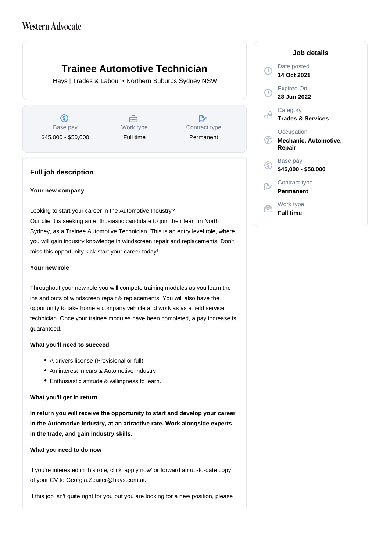# **Trainee Automotive Technician**

Hays | Trades & Labour • Northern Suburbs Sydney NSW

 $\circledS$ Base pay \$45,000 - \$50,000

Å Work type Full time

 $\mathbb{R}^*$ Contract type Permanent

### **Full job description**

#### **Your new company**

Looking to start your career in the Automotive Industry? Our client is seeking an enthusiastic candidate to join their team in North Sydney, as a Trainee Automotive Technician. This is an entry level role, where you will gain industry knowledge in windscreen repair and replacements. Don't miss this opportunity kick-start your career today!

#### **Your new role**

Throughout your new role you will compete training modules as you learn the ins and outs of windscreen repair & replacements. You will also have the opportunity to take home a company vehicle and work as as a field service technician. Once your trainee modules have been completed, a pay increase is guaranteed.

#### **What you'll need to succeed**

- A drivers license (Provisional or full)
- An interest in cars & Automotive industry
- Enthusiastic attitude & willingness to learn.

#### **What you'll get in return**

**In return you will receive the opportunity to start and develop your career in the Automotive industry, at an attractive rate. Work alongside experts in the trade, and gain industry skills.**

#### **What you need to do now**

If you're interested in this role, click 'apply now' or forward an up-to-date copy of your CV to Georgia.Zeaiter@hays.com.au

If this job isn't quite right for you but you are looking for a new position, please

## **Job details** Date posted  $\Omega$ **14 Oct 2021** Expired On  $\left( 0\right)$ **28 Jun 2022 Category** œ **Trades & Services Occupation**  $\circledR$ **Mechanic, Automotive, Repair** Base pay **\$45,000 - \$50,000** Contract type **Permanent** Work type **Full time**